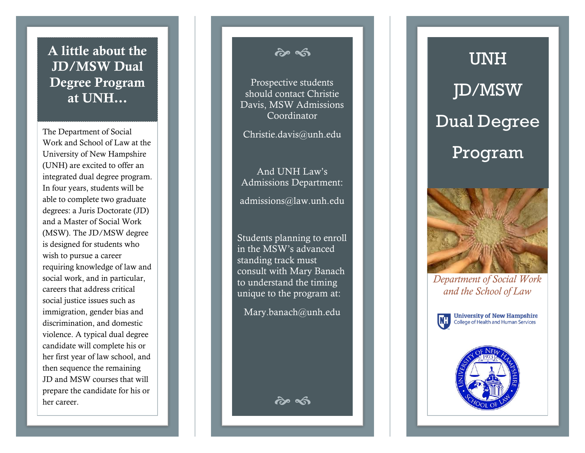### A little about the JD/MSW Dual Degree Program at UNH …

The Department of Social Work and School of Law at the University of New Hampshire (UNH) are excited to offer an integrated dual degree program. In four years, students will be able to complete two graduate degrees: a Juris Doctorate (JD) and a Master of Social Work (MSW). The JD/MSW degree is designed for students who wish to pursue a career requiring knowledge of law and social work, and in particular, careers that address critical social justice issues such as immigration, gender bias and discrimination, and domestic violence. A typical dual degree candidate will complete his or her first year of law school, and then sequence the remaining JD and MSW courses that will prepare the candidate for his or her career.

*જે* જી

Prospective students should contact Christie Davis, MSW Admissions Coordinator

Christie .davis@unh.edu

And UNH Law's Admission s Department:

admissions@law.unh.edu

Students planning to enroll in the MSW's advanced standing track must consult with Mary Banach to understand the timing unique to the program at:

Mary.banach@unh.edu

*જે* જી

# UNH JD/MSW Dual Degree Program



*Department of Social Work and the School of Law*



**University of New Hampshire**<br>College of Health and Human Services